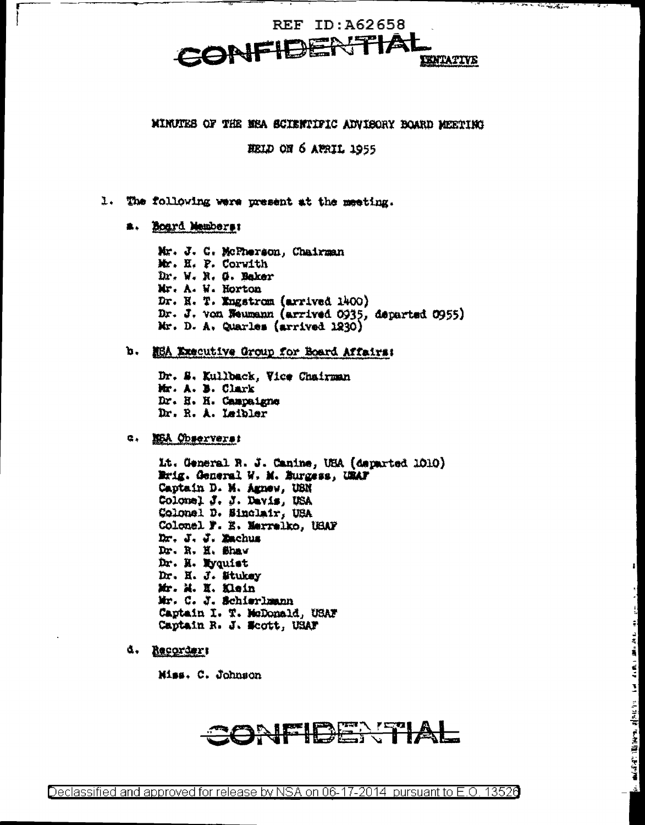### MINUTES OF THE MEA SCIENTIFIC ADVISORY BOARD MEETING

HELD ON 6 APRIL 1955

- 1. The following were present at the meeting.
	- a. Board Members:

Mr. J. C. McPherson, Chairman Mr. H. P. Corwith Dr. W. R. G. Baker Mr. A. W. Horton Dr. N. T. Engstrom (arrived 1400) Dr. J. von Weumann (arrived 0935, departed 0955) Mr. D. A. Quarles (arrived 1230)

### b. NEA Executive Group for Board Affairs:

Dr. S. Kullback, Vice Chairman Mr. A. B. Clark Dr. H. H. Campaigne Dr. R. A. Leibler

#### G. NEA Observers:

Lt. General R. J. Canine, USA (departed 1010) Erig. General W. M. Burgess, URAF Captain D. M. Agnew, USN Colonel J. J. Davis, USA Colonel D. Sinclair, USA Colonel F. E. Merrelko, USAF Dr. J. J. Zachus Dr. R. H. Shaw Dr. H. Wyquist Dr. H. J. Stukey Mr. M. H. Klein Mr. C. J. Schierlmann Captain I. T. McDonald, USAF Captain R. J. Scott, USAF

d. Recorder:

Miss. C. Johnson

## CONFIDENTIAL

 $-3.1 -$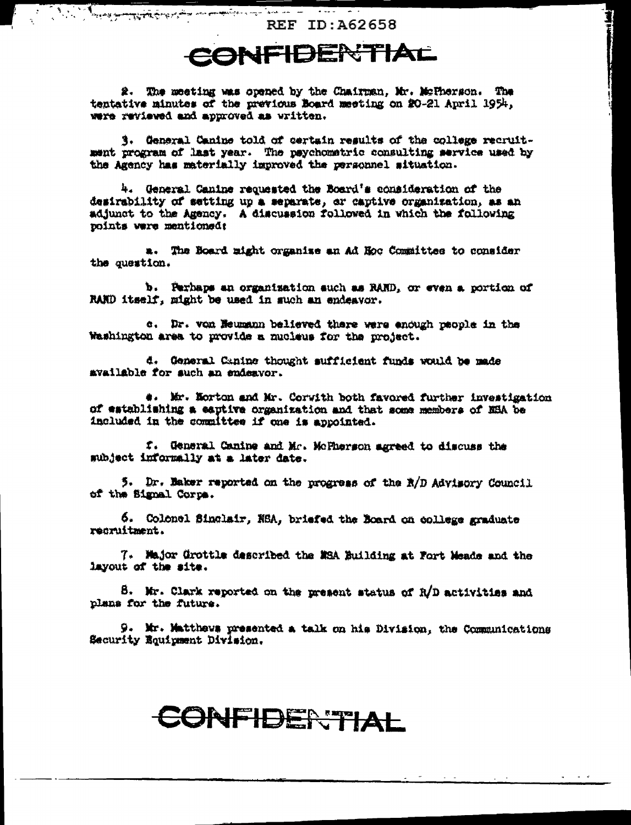Comment of the comment of the second state of the comment of the second state of the second state of the second state of the second state of the second state of the second state of the second state of the second state of t **REF ID: A62658** 

1

## CONFIDENTIAL

2. The meeting was opened by the Chairman, Mr. McTherson. The tentative minutes of the previous Board meeting on 20-21 April 1954, were reviewed and approved as written.

3. General Canine told of certain results of the college recruitment program of last year. The psychometric consulting service used by the Agency has materially improved the personnel situation.

4. General Canine requested the Board's consideration of the desirability of setting up a separate, or captive organization, as an adjunct to the Agency. A discussion followed in which the following points were mentioned:

a. The Board might organize an Ad Hoc Committee to consider the question.

b. Perhaps an organization such as RAND, or even a portion of RAND itself, might be used in such an endeavor.

c. Dr. von Heumann believed there were enough paople in the Washington area to provide a mucleus for the project.

d. General Canine thought sufficient funds would be made available for such an endeavor.

4. Mr. Norton and Mr. Corwith both favored further investigation of establishing a eaptive organization and that some members of NBA be included in the committee if one is appointed.

f. General Canine and Mr. McPherson agreed to discuss the subject informally at a later date.

5. Dr. Baker reported on the progress of the R/D Advisory Council of the Signal Corps.

6. Colonel Sinclair, NSA, briefed the Board on college graduate recruitment.

7. Major Grottle described the MSA Building at Fort Meade and the layout of the site.

8. Mr. Clark reported on the present status of R/D activities and plans for the future.

9. Mr. Matthews presented a talk on his Division, the Communications Security Equipment Division.

# CONFIDERTIAL